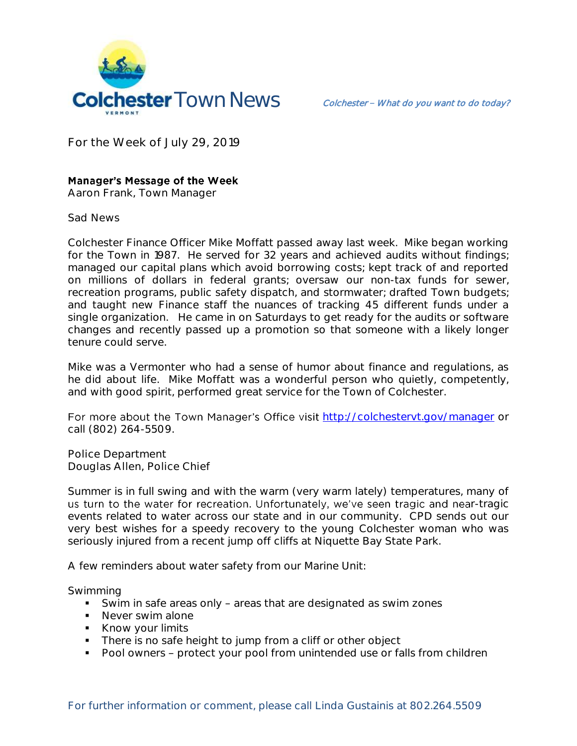

**For the Week of July 29, 2019**

## **Manager's Message of the Week**

**Aaron Frank, Town Manager**

**Sad News**

Colchester Finance Officer Mike Moffatt passed away last week. Mike began working for the Town in 1987. He served for 32 years and achieved audits without findings; managed our capital plans which avoid borrowing costs; kept track of and reported on millions of dollars in federal grants; oversaw our non-tax funds for sewer, recreation programs, public safety dispatch, and stormwater; drafted Town budgets; and taught new Finance staff the nuances of tracking 45 different funds under a single organization. He came in on Saturdays to get ready for the audits or software changes and recently passed up a promotion so that someone with a likely longer tenure could serve.

Mike was a Vermonter who had a sense of humor about finance and regulations, as he did about life. Mike Moffatt was a wonderful person who quietly, competently, and with good spirit, performed great service for the Town of Colchester.

For more about the Town Manager's Office visit <http://colchestervt.gov/manager> or call (802) 264-5509.

**Police Department Douglas Allen, Police Chief** 

Summer is in full swing and with the warm (very warm lately) temperatures, many of us turn to the water for recreation. Unfortunately, we've seen tragic and near-tragic events related to water across our state and in our community. CPD sends out our very best wishes for a speedy recovery to the young Colchester woman who was seriously injured from a recent jump off cliffs at Niquette Bay State Park.

A few reminders about water safety from our Marine Unit:

Swimming

- Swim in safe areas only areas that are designated as swim zones
- Never swim alone
- Know your limits
- There is no safe height to jump from a cliff or other object
- Pool owners protect your pool from unintended use or falls from children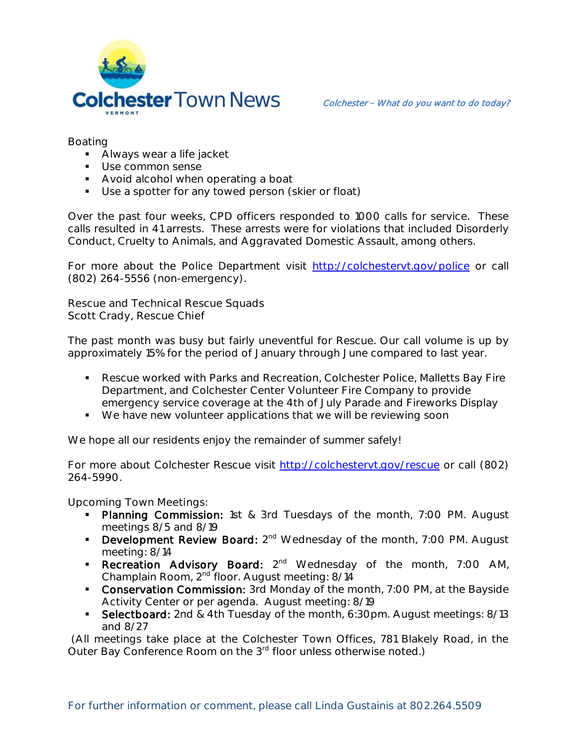

Boating

- **Always wear a life jacket**
- **Use common sense**
- **Avoid alcohol when operating a boat**
- **Use a spotter for any towed person (skier or float)**

Over the past four weeks, CPD officers responded to 1000 calls for service. These calls resulted in 41 arrests. These arrests were for violations that included Disorderly Conduct, Cruelty to Animals, and Aggravated Domestic Assault, among others.

For more about the Police Department visit <http://colchestervt.gov/police> or call (802) 264-5556 (non-emergency).

**Rescue and Technical Rescue Squads Scott Crady, Rescue Chief**

The past month was busy but fairly uneventful for Rescue. Our call volume is up by approximately 15% for the period of January through June compared to last year.

- Rescue worked with Parks and Recreation, Colchester Police, Malletts Bay Fire Department, and Colchester Center Volunteer Fire Company to provide emergency service coverage at the 4th of July Parade and Fireworks Display
- We have new volunteer applications that we will be reviewing soon

We hope all our residents enjoy the remainder of summer safely!

For more about Colchester Rescue visit [http://colchestervt.gov/rescue](http://colchestervt.gov/rescue/index.shtml) or call (802) 264-5990.

**Upcoming Town Meetings:** 

- Planning Commission: 1st & 3rd Tuesdays of the month, 7:00 PM. August meetings 8/5 and 8/19
- **Development Review Board:**  $2^{nd}$  Wednesday of the month, 7:00 PM. August meeting: 8/14
- Recreation Advisory Board: 2<sup>nd</sup> Wednesday of the month, 7:00 AM, Champlain Room, 2nd floor. August meeting: 8/14
- **Conservation Commission:** 3rd Monday of the month, 7:00 PM, at the Bayside Activity Center or per agenda. August meeting: 8/19
- Selectboard: 2nd & 4th Tuesday of the month, 6:30pm. August meetings: 8/13 and 8/27

(All meetings take place at the Colchester Town Offices, 781 Blakely Road, in the Outer Bay Conference Room on the 3<sup>rd</sup> floor unless otherwise noted.)